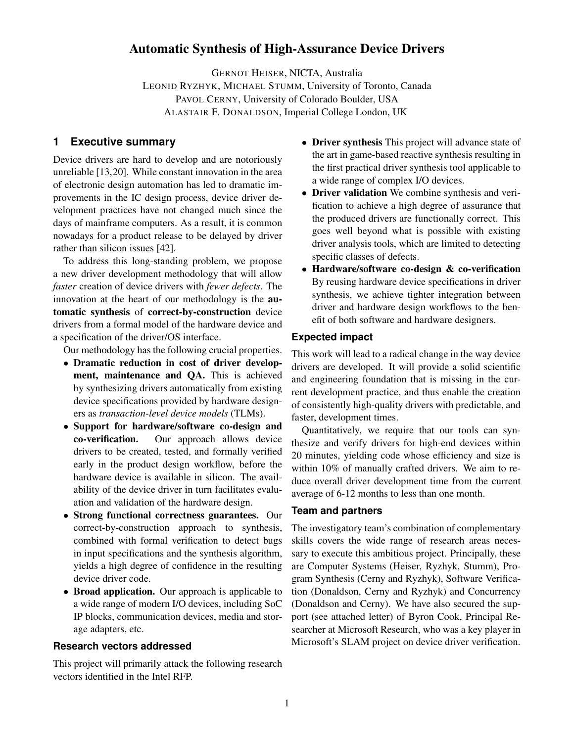# Automatic Synthesis of High-Assurance Device Drivers

GERNOT HEISER, NICTA, Australia LEONID RYZHYK, MICHAEL STUMM, University of Toronto, Canada PAVOL CERNY, University of Colorado Boulder, USA ALASTAIR F. DONALDSON, Imperial College London, UK

## **1 Executive summary**

Device drivers are hard to develop and are notoriously unreliable [13,20]. While constant innovation in the area of electronic design automation has led to dramatic improvements in the IC design process, device driver development practices have not changed much since the days of mainframe computers. As a result, it is common nowadays for a product release to be delayed by driver rather than silicon issues [42].

To address this long-standing problem, we propose a new driver development methodology that will allow *faster* creation of device drivers with *fewer defects*. The innovation at the heart of our methodology is the automatic synthesis of correct-by-construction device drivers from a formal model of the hardware device and a specification of the driver/OS interface.

Our methodology has the following crucial properties.

- Dramatic reduction in cost of driver development, maintenance and QA. This is achieved by synthesizing drivers automatically from existing device specifications provided by hardware designers as *transaction-level device models* (TLMs).
- Support for hardware/software co-design and co-verification. Our approach allows device drivers to be created, tested, and formally verified early in the product design workflow, before the hardware device is available in silicon. The availability of the device driver in turn facilitates evaluation and validation of the hardware design.
- Strong functional correctness guarantees. Our correct-by-construction approach to synthesis, combined with formal verification to detect bugs in input specifications and the synthesis algorithm, yields a high degree of confidence in the resulting device driver code.
- Broad application. Our approach is applicable to a wide range of modern I/O devices, including SoC IP blocks, communication devices, media and storage adapters, etc.

#### **Research vectors addressed**

This project will primarily attack the following research vectors identified in the Intel RFP.

- Driver synthesis This project will advance state of the art in game-based reactive synthesis resulting in the first practical driver synthesis tool applicable to a wide range of complex I/O devices.
- Driver validation We combine synthesis and verification to achieve a high degree of assurance that the produced drivers are functionally correct. This goes well beyond what is possible with existing driver analysis tools, which are limited to detecting specific classes of defects.
- Hardware/software co-design & co-verification By reusing hardware device specifications in driver synthesis, we achieve tighter integration between driver and hardware design workflows to the benefit of both software and hardware designers.

#### **Expected impact**

This work will lead to a radical change in the way device drivers are developed. It will provide a solid scientific and engineering foundation that is missing in the current development practice, and thus enable the creation of consistently high-quality drivers with predictable, and faster, development times.

Quantitatively, we require that our tools can synthesize and verify drivers for high-end devices within 20 minutes, yielding code whose efficiency and size is within 10% of manually crafted drivers. We aim to reduce overall driver development time from the current average of 6-12 months to less than one month.

#### **Team and partners**

The investigatory team's combination of complementary skills covers the wide range of research areas necessary to execute this ambitious project. Principally, these are Computer Systems (Heiser, Ryzhyk, Stumm), Program Synthesis (Cerny and Ryzhyk), Software Verification (Donaldson, Cerny and Ryzhyk) and Concurrency (Donaldson and Cerny). We have also secured the support (see attached letter) of Byron Cook, Principal Researcher at Microsoft Research, who was a key player in Microsoft's SLAM project on device driver verification.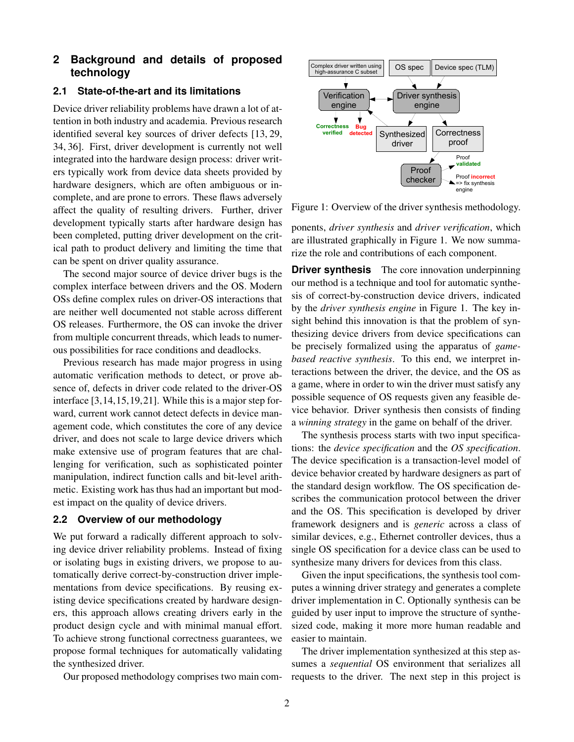## **2 Background and details of proposed technology**

#### **2.1 State-of-the-art and its limitations**

Device driver reliability problems have drawn a lot of attention in both industry and academia. Previous research identified several key sources of driver defects [13, 29, 34, 36]. First, driver development is currently not well integrated into the hardware design process: driver writers typically work from device data sheets provided by hardware designers, which are often ambiguous or incomplete, and are prone to errors. These flaws adversely affect the quality of resulting drivers. Further, driver development typically starts after hardware design has been completed, putting driver development on the critical path to product delivery and limiting the time that can be spent on driver quality assurance.

The second major source of device driver bugs is the complex interface between drivers and the OS. Modern OSs define complex rules on driver-OS interactions that are neither well documented not stable across different OS releases. Furthermore, the OS can invoke the driver from multiple concurrent threads, which leads to numerous possibilities for race conditions and deadlocks.

Previous research has made major progress in using automatic verification methods to detect, or prove absence of, defects in driver code related to the driver-OS interface [3,14,15,19,21]. While this is a major step forward, current work cannot detect defects in device management code, which constitutes the core of any device driver, and does not scale to large device drivers which make extensive use of program features that are challenging for verification, such as sophisticated pointer manipulation, indirect function calls and bit-level arithmetic. Existing work has thus had an important but modest impact on the quality of device drivers.

#### **2.2 Overview of our methodology**

We put forward a radically different approach to solving device driver reliability problems. Instead of fixing or isolating bugs in existing drivers, we propose to automatically derive correct-by-construction driver implementations from device specifications. By reusing existing device specifications created by hardware designers, this approach allows creating drivers early in the product design cycle and with minimal manual effort. To achieve strong functional correctness guarantees, we propose formal techniques for automatically validating the synthesized driver.

Our proposed methodology comprises two main com-



Figure 1: Overview of the driver synthesis methodology.

ponents, *driver synthesis* and *driver verification*, which are illustrated graphically in Figure 1. We now summarize the role and contributions of each component.

**Driver synthesis** The core innovation underpinning our method is a technique and tool for automatic synthesis of correct-by-construction device drivers, indicated by the *driver synthesis engine* in Figure 1. The key insight behind this innovation is that the problem of synthesizing device drivers from device specifications can be precisely formalized using the apparatus of *gamebased reactive synthesis*. To this end, we interpret interactions between the driver, the device, and the OS as a game, where in order to win the driver must satisfy any possible sequence of OS requests given any feasible device behavior. Driver synthesis then consists of finding a *winning strategy* in the game on behalf of the driver.

The synthesis process starts with two input specifications: the *device specification* and the *OS specification*. The device specification is a transaction-level model of device behavior created by hardware designers as part of the standard design workflow. The OS specification describes the communication protocol between the driver and the OS. This specification is developed by driver framework designers and is *generic* across a class of similar devices, e.g., Ethernet controller devices, thus a single OS specification for a device class can be used to synthesize many drivers for devices from this class.

Given the input specifications, the synthesis tool computes a winning driver strategy and generates a complete driver implementation in C. Optionally synthesis can be guided by user input to improve the structure of synthesized code, making it more more human readable and easier to maintain.

The driver implementation synthesized at this step assumes a *sequential* OS environment that serializes all requests to the driver. The next step in this project is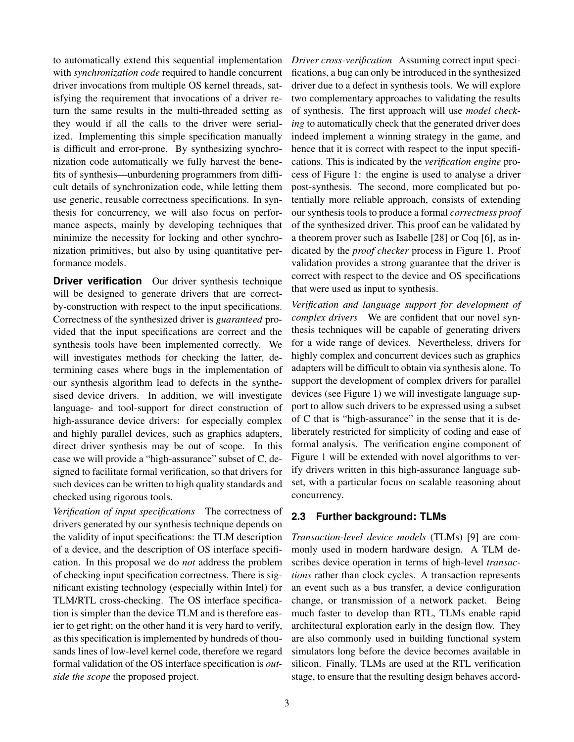to automatically extend this sequential implementation with *synchronization code* required to handle concurrent driver invocations from multiple OS kernel threads, satisfying the requirement that invocations of a driver return the same results in the multi-threaded setting as they would if all the calls to the driver were serialized. Implementing this simple specification manually is difficult and error-prone. By synthesizing synchronization code automatically we fully harvest the benefits of synthesis—unburdening programmers from difficult details of synchronization code, while letting them use generic, reusable correctness specifications. In synthesis for concurrency, we will also focus on performance aspects, mainly by developing techniques that minimize the necessity for locking and other synchronization primitives, but also by using quantitative performance models.

**Driver verification** Our driver synthesis technique will be designed to generate drivers that are correctby-construction with respect to the input specifications. Correctness of the synthesized driver is *guaranteed* provided that the input specifications are correct and the synthesis tools have been implemented correctly. We will investigates methods for checking the latter, determining cases where bugs in the implementation of our synthesis algorithm lead to defects in the synthesised device drivers. In addition, we will investigate language- and tool-support for direct construction of high-assurance device drivers: for especially complex and highly parallel devices, such as graphics adapters, direct driver synthesis may be out of scope. In this case we will provide a "high-assurance" subset of C, designed to facilitate formal verification, so that drivers for such devices can be written to high quality standards and checked using rigorous tools.

*Verification of input specifications* The correctness of drivers generated by our synthesis technique depends on the validity of input specifications: the TLM description of a device, and the description of OS interface specification. In this proposal we do *not* address the problem of checking input specification correctness. There is significant existing technology (especially within Intel) for TLM/RTL cross-checking. The OS interface specification is simpler than the device TLM and is therefore easier to get right; on the other hand it is very hard to verify, as this specification is implemented by hundreds of thousands lines of low-level kernel code, therefore we regard formal validation of the OS interface specification is *outside the scope* the proposed project.

*Driver cross-verification* Assuming correct input specifications, a bug can only be introduced in the synthesized driver due to a defect in synthesis tools. We will explore two complementary approaches to validating the results of synthesis. The first approach will use *model checking* to automatically check that the generated driver does indeed implement a winning strategy in the game, and hence that it is correct with respect to the input specifications. This is indicated by the *verification engine* process of Figure 1: the engine is used to analyse a driver post-synthesis. The second, more complicated but potentially more reliable approach, consists of extending our synthesis tools to produce a formal *correctness proof* of the synthesized driver. This proof can be validated by a theorem prover such as Isabelle [28] or Coq [6], as indicated by the *proof checker* process in Figure 1. Proof validation provides a strong guarantee that the driver is correct with respect to the device and OS specifications that were used as input to synthesis.

*Verification and language support for development of complex drivers* We are confident that our novel synthesis techniques will be capable of generating drivers for a wide range of devices. Nevertheless, drivers for highly complex and concurrent devices such as graphics adapters will be difficult to obtain via synthesis alone. To support the development of complex drivers for parallel devices (see Figure 1) we will investigate language support to allow such drivers to be expressed using a subset of C that is "high-assurance" in the sense that it is deliberately restricted for simplicity of coding and ease of formal analysis. The verification engine component of Figure 1 will be extended with novel algorithms to verify drivers written in this high-assurance language subset, with a particular focus on scalable reasoning about concurrency.

## **2.3 Further background: TLMs**

*Transaction-level device models* (TLMs) [9] are commonly used in modern hardware design. A TLM describes device operation in terms of high-level *transactions* rather than clock cycles. A transaction represents an event such as a bus transfer, a device configuration change, or transmission of a network packet. Being much faster to develop than RTL, TLMs enable rapid architectural exploration early in the design flow. They are also commonly used in building functional system simulators long before the device becomes available in silicon. Finally, TLMs are used at the RTL verification stage, to ensure that the resulting design behaves accord-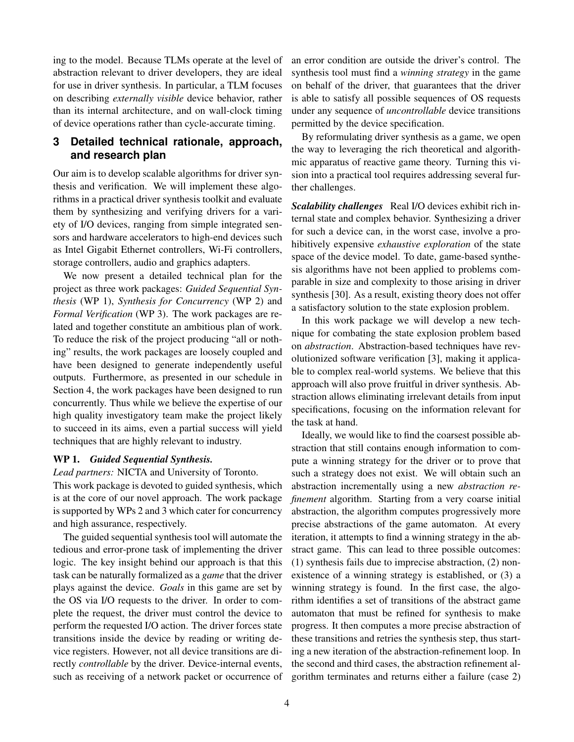ing to the model. Because TLMs operate at the level of abstraction relevant to driver developers, they are ideal for use in driver synthesis. In particular, a TLM focuses on describing *externally visible* device behavior, rather than its internal architecture, and on wall-clock timing of device operations rather than cycle-accurate timing.

## **3 Detailed technical rationale, approach, and research plan**

Our aim is to develop scalable algorithms for driver synthesis and verification. We will implement these algorithms in a practical driver synthesis toolkit and evaluate them by synthesizing and verifying drivers for a variety of I/O devices, ranging from simple integrated sensors and hardware accelerators to high-end devices such as Intel Gigabit Ethernet controllers, Wi-Fi controllers, storage controllers, audio and graphics adapters.

We now present a detailed technical plan for the project as three work packages: *Guided Sequential Synthesis* (WP 1), *Synthesis for Concurrency* (WP 2) and *Formal Verification* (WP 3). The work packages are related and together constitute an ambitious plan of work. To reduce the risk of the project producing "all or nothing" results, the work packages are loosely coupled and have been designed to generate independently useful outputs. Furthermore, as presented in our schedule in Section 4, the work packages have been designed to run concurrently. Thus while we believe the expertise of our high quality investigatory team make the project likely to succeed in its aims, even a partial success will yield techniques that are highly relevant to industry.

#### WP 1. *Guided Sequential Synthesis.*

*Lead partners:* NICTA and University of Toronto.

This work package is devoted to guided synthesis, which is at the core of our novel approach. The work package is supported by WPs 2 and 3 which cater for concurrency and high assurance, respectively.

The guided sequential synthesis tool will automate the tedious and error-prone task of implementing the driver logic. The key insight behind our approach is that this task can be naturally formalized as a *game* that the driver plays against the device. *Goals* in this game are set by the OS via I/O requests to the driver. In order to complete the request, the driver must control the device to perform the requested I/O action. The driver forces state transitions inside the device by reading or writing device registers. However, not all device transitions are directly *controllable* by the driver. Device-internal events, such as receiving of a network packet or occurrence of an error condition are outside the driver's control. The synthesis tool must find a *winning strategy* in the game on behalf of the driver, that guarantees that the driver is able to satisfy all possible sequences of OS requests under any sequence of *uncontrollable* device transitions permitted by the device specification.

By reformulating driver synthesis as a game, we open the way to leveraging the rich theoretical and algorithmic apparatus of reactive game theory. Turning this vision into a practical tool requires addressing several further challenges.

*Scalability challenges* Real I/O devices exhibit rich internal state and complex behavior. Synthesizing a driver for such a device can, in the worst case, involve a prohibitively expensive *exhaustive exploration* of the state space of the device model. To date, game-based synthesis algorithms have not been applied to problems comparable in size and complexity to those arising in driver synthesis [30]. As a result, existing theory does not offer a satisfactory solution to the state explosion problem.

In this work package we will develop a new technique for combating the state explosion problem based on *abstraction*. Abstraction-based techniques have revolutionized software verification [3], making it applicable to complex real-world systems. We believe that this approach will also prove fruitful in driver synthesis. Abstraction allows eliminating irrelevant details from input specifications, focusing on the information relevant for the task at hand.

Ideally, we would like to find the coarsest possible abstraction that still contains enough information to compute a winning strategy for the driver or to prove that such a strategy does not exist. We will obtain such an abstraction incrementally using a new *abstraction refinement* algorithm. Starting from a very coarse initial abstraction, the algorithm computes progressively more precise abstractions of the game automaton. At every iteration, it attempts to find a winning strategy in the abstract game. This can lead to three possible outcomes: (1) synthesis fails due to imprecise abstraction, (2) nonexistence of a winning strategy is established, or (3) a winning strategy is found. In the first case, the algorithm identifies a set of transitions of the abstract game automaton that must be refined for synthesis to make progress. It then computes a more precise abstraction of these transitions and retries the synthesis step, thus starting a new iteration of the abstraction-refinement loop. In the second and third cases, the abstraction refinement algorithm terminates and returns either a failure (case 2)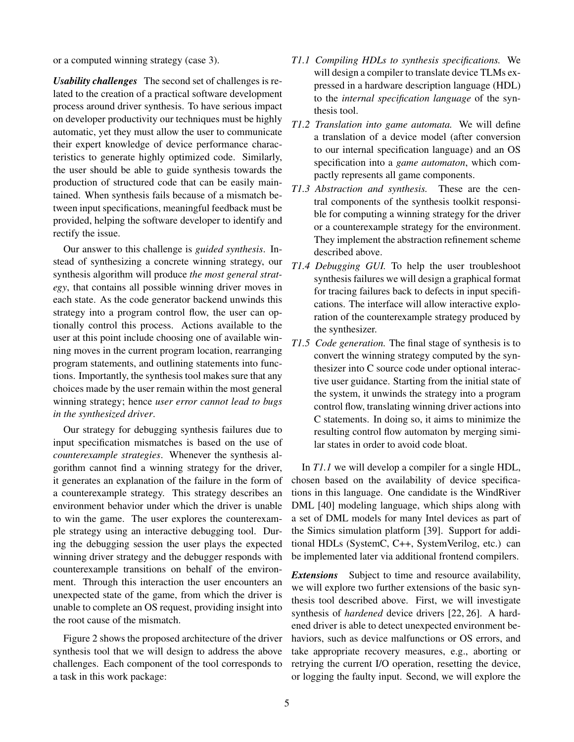or a computed winning strategy (case 3).

*Usability challenges* The second set of challenges is related to the creation of a practical software development process around driver synthesis. To have serious impact on developer productivity our techniques must be highly automatic, yet they must allow the user to communicate their expert knowledge of device performance characteristics to generate highly optimized code. Similarly, the user should be able to guide synthesis towards the production of structured code that can be easily maintained. When synthesis fails because of a mismatch between input specifications, meaningful feedback must be provided, helping the software developer to identify and rectify the issue.

Our answer to this challenge is *guided synthesis*. Instead of synthesizing a concrete winning strategy, our synthesis algorithm will produce *the most general strategy*, that contains all possible winning driver moves in each state. As the code generator backend unwinds this strategy into a program control flow, the user can optionally control this process. Actions available to the user at this point include choosing one of available winning moves in the current program location, rearranging program statements, and outlining statements into functions. Importantly, the synthesis tool makes sure that any choices made by the user remain within the most general winning strategy; hence *user error cannot lead to bugs in the synthesized driver*.

Our strategy for debugging synthesis failures due to input specification mismatches is based on the use of *counterexample strategies*. Whenever the synthesis algorithm cannot find a winning strategy for the driver, it generates an explanation of the failure in the form of a counterexample strategy. This strategy describes an environment behavior under which the driver is unable to win the game. The user explores the counterexample strategy using an interactive debugging tool. During the debugging session the user plays the expected winning driver strategy and the debugger responds with counterexample transitions on behalf of the environment. Through this interaction the user encounters an unexpected state of the game, from which the driver is unable to complete an OS request, providing insight into the root cause of the mismatch.

Figure 2 shows the proposed architecture of the driver synthesis tool that we will design to address the above challenges. Each component of the tool corresponds to a task in this work package:

- *T1.1 Compiling HDLs to synthesis specifications.* We will design a compiler to translate device TLMs expressed in a hardware description language (HDL) to the *internal specification language* of the synthesis tool.
- *T1.2 Translation into game automata.* We will define a translation of a device model (after conversion to our internal specification language) and an OS specification into a *game automaton*, which compactly represents all game components.
- *T1.3 Abstraction and synthesis.* These are the central components of the synthesis toolkit responsible for computing a winning strategy for the driver or a counterexample strategy for the environment. They implement the abstraction refinement scheme described above.
- *T1.4 Debugging GUI.* To help the user troubleshoot synthesis failures we will design a graphical format for tracing failures back to defects in input specifications. The interface will allow interactive exploration of the counterexample strategy produced by the synthesizer.
- *T1.5 Code generation.* The final stage of synthesis is to convert the winning strategy computed by the synthesizer into C source code under optional interactive user guidance. Starting from the initial state of the system, it unwinds the strategy into a program control flow, translating winning driver actions into C statements. In doing so, it aims to minimize the resulting control flow automaton by merging similar states in order to avoid code bloat.

In *T1.1* we will develop a compiler for a single HDL, chosen based on the availability of device specifications in this language. One candidate is the WindRiver DML [40] modeling language, which ships along with a set of DML models for many Intel devices as part of the Simics simulation platform [39]. Support for additional HDLs (SystemC, C++, SystemVerilog, etc.) can be implemented later via additional frontend compilers.

*Extensions* Subject to time and resource availability, we will explore two further extensions of the basic synthesis tool described above. First, we will investigate synthesis of *hardened* device drivers [22, 26]. A hardened driver is able to detect unexpected environment behaviors, such as device malfunctions or OS errors, and take appropriate recovery measures, e.g., aborting or retrying the current I/O operation, resetting the device, or logging the faulty input. Second, we will explore the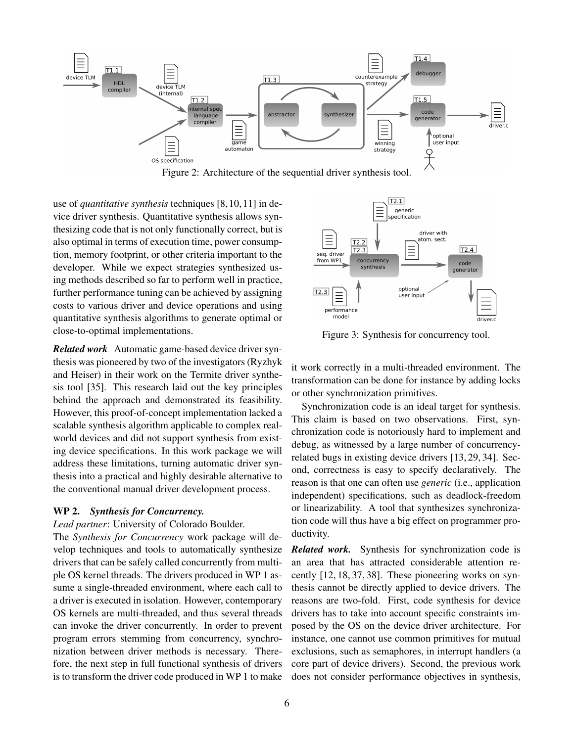

Figure 2: Architecture of the sequential driver synthesis tool.

use of *quantitative synthesis* techniques [8, 10, 11] in device driver synthesis. Quantitative synthesis allows synthesizing code that is not only functionally correct, but is also optimal in terms of execution time, power consumption, memory footprint, or other criteria important to the developer. While we expect strategies synthesized using methods described so far to perform well in practice, further performance tuning can be achieved by assigning costs to various driver and device operations and using quantitative synthesis algorithms to generate optimal or close-to-optimal implementations.

*Related work* Automatic game-based device driver synthesis was pioneered by two of the investigators (Ryzhyk and Heiser) in their work on the Termite driver synthesis tool [35]. This research laid out the key principles behind the approach and demonstrated its feasibility. However, this proof-of-concept implementation lacked a scalable synthesis algorithm applicable to complex realworld devices and did not support synthesis from existing device specifications. In this work package we will address these limitations, turning automatic driver synthesis into a practical and highly desirable alternative to the conventional manual driver development process.

### WP 2. *Synthesis for Concurrency.*

#### *Lead partner*: University of Colorado Boulder.

The *Synthesis for Concurrency* work package will develop techniques and tools to automatically synthesize drivers that can be safely called concurrently from multiple OS kernel threads. The drivers produced in WP 1 assume a single-threaded environment, where each call to a driver is executed in isolation. However, contemporary OS kernels are multi-threaded, and thus several threads can invoke the driver concurrently. In order to prevent program errors stemming from concurrency, synchronization between driver methods is necessary. Therefore, the next step in full functional synthesis of drivers is to transform the driver code produced in WP 1 to make



Figure 3: Synthesis for concurrency tool.

it work correctly in a multi-threaded environment. The transformation can be done for instance by adding locks or other synchronization primitives.

Synchronization code is an ideal target for synthesis. This claim is based on two observations. First, synchronization code is notoriously hard to implement and debug, as witnessed by a large number of concurrencyrelated bugs in existing device drivers [13, 29, 34]. Second, correctness is easy to specify declaratively. The reason is that one can often use *generic* (i.e., application independent) specifications, such as deadlock-freedom or linearizability. A tool that synthesizes synchronization code will thus have a big effect on programmer productivity.

*Related work.* Synthesis for synchronization code is an area that has attracted considerable attention recently [12, 18, 37, 38]. These pioneering works on synthesis cannot be directly applied to device drivers. The reasons are two-fold. First, code synthesis for device drivers has to take into account specific constraints imposed by the OS on the device driver architecture. For instance, one cannot use common primitives for mutual exclusions, such as semaphores, in interrupt handlers (a core part of device drivers). Second, the previous work does not consider performance objectives in synthesis,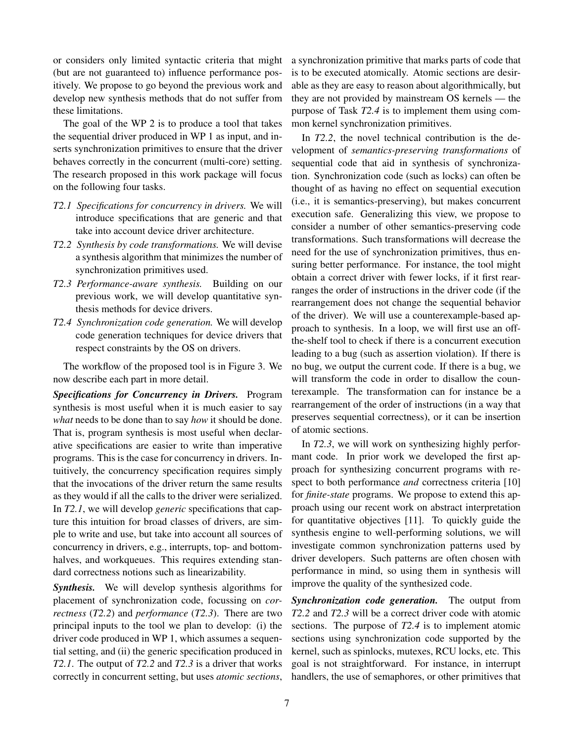or considers only limited syntactic criteria that might (but are not guaranteed to) influence performance positively. We propose to go beyond the previous work and develop new synthesis methods that do not suffer from these limitations.

The goal of the WP 2 is to produce a tool that takes the sequential driver produced in WP 1 as input, and inserts synchronization primitives to ensure that the driver behaves correctly in the concurrent (multi-core) setting. The research proposed in this work package will focus on the following four tasks.

- *T2.1 Specifications for concurrency in drivers.* We will introduce specifications that are generic and that take into account device driver architecture.
- *T2.2 Synthesis by code transformations.* We will devise a synthesis algorithm that minimizes the number of synchronization primitives used.
- *T2.3 Performance-aware synthesis.* Building on our previous work, we will develop quantitative synthesis methods for device drivers.
- *T2.4 Synchronization code generation.* We will develop code generation techniques for device drivers that respect constraints by the OS on drivers.

The workflow of the proposed tool is in Figure 3. We now describe each part in more detail.

*Specifications for Concurrency in Drivers.* Program synthesis is most useful when it is much easier to say *what* needs to be done than to say *how* it should be done. That is, program synthesis is most useful when declarative specifications are easier to write than imperative programs. This is the case for concurrency in drivers. Intuitively, the concurrency specification requires simply that the invocations of the driver return the same results as they would if all the calls to the driver were serialized. In *T2.1*, we will develop *generic* specifications that capture this intuition for broad classes of drivers, are simple to write and use, but take into account all sources of concurrency in drivers, e.g., interrupts, top- and bottomhalves, and workqueues. This requires extending standard correctness notions such as linearizability.

*Synthesis.* We will develop synthesis algorithms for placement of synchronization code, focussing on *correctness* (*T2.2*) and *performance* (*T2.3*). There are two principal inputs to the tool we plan to develop: (i) the driver code produced in WP 1, which assumes a sequential setting, and (ii) the generic specification produced in *T2.1*. The output of *T2.2* and *T2.3* is a driver that works correctly in concurrent setting, but uses *atomic sections*, a synchronization primitive that marks parts of code that is to be executed atomically. Atomic sections are desirable as they are easy to reason about algorithmically, but they are not provided by mainstream OS kernels — the purpose of Task *T2.4* is to implement them using common kernel synchronization primitives.

In *T2.2*, the novel technical contribution is the development of *semantics-preserving transformations* of sequential code that aid in synthesis of synchronization. Synchronization code (such as locks) can often be thought of as having no effect on sequential execution (i.e., it is semantics-preserving), but makes concurrent execution safe. Generalizing this view, we propose to consider a number of other semantics-preserving code transformations. Such transformations will decrease the need for the use of synchronization primitives, thus ensuring better performance. For instance, the tool might obtain a correct driver with fewer locks, if it first rearranges the order of instructions in the driver code (if the rearrangement does not change the sequential behavior of the driver). We will use a counterexample-based approach to synthesis. In a loop, we will first use an offthe-shelf tool to check if there is a concurrent execution leading to a bug (such as assertion violation). If there is no bug, we output the current code. If there is a bug, we will transform the code in order to disallow the counterexample. The transformation can for instance be a rearrangement of the order of instructions (in a way that preserves sequential correctness), or it can be insertion of atomic sections.

In *T2.3*, we will work on synthesizing highly performant code. In prior work we developed the first approach for synthesizing concurrent programs with respect to both performance *and* correctness criteria [10] for *finite-state* programs. We propose to extend this approach using our recent work on abstract interpretation for quantitative objectives [11]. To quickly guide the synthesis engine to well-performing solutions, we will investigate common synchronization patterns used by driver developers. Such patterns are often chosen with performance in mind, so using them in synthesis will improve the quality of the synthesized code.

*Synchronization code generation.* The output from *T2.2* and *T2.3* will be a correct driver code with atomic sections. The purpose of *T2.4* is to implement atomic sections using synchronization code supported by the kernel, such as spinlocks, mutexes, RCU locks, etc. This goal is not straightforward. For instance, in interrupt handlers, the use of semaphores, or other primitives that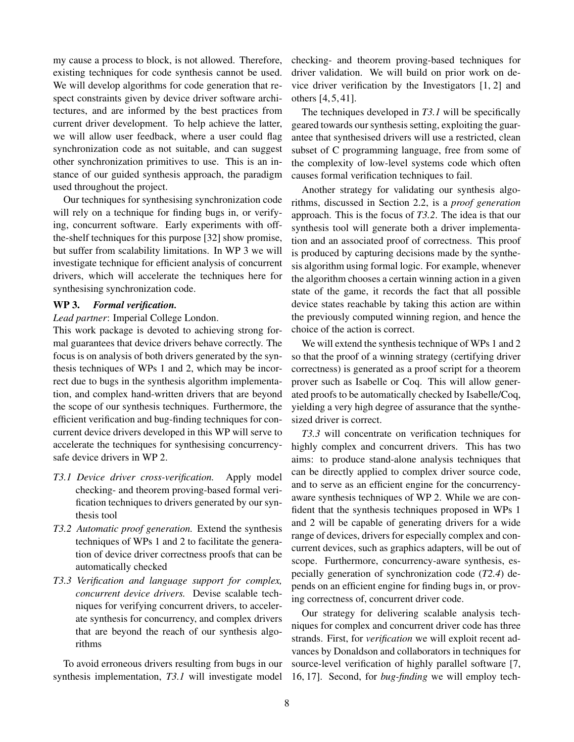my cause a process to block, is not allowed. Therefore, existing techniques for code synthesis cannot be used. We will develop algorithms for code generation that respect constraints given by device driver software architectures, and are informed by the best practices from current driver development. To help achieve the latter, we will allow user feedback, where a user could flag synchronization code as not suitable, and can suggest other synchronization primitives to use. This is an instance of our guided synthesis approach, the paradigm used throughout the project.

Our techniques for synthesising synchronization code will rely on a technique for finding bugs in, or verifying, concurrent software. Early experiments with offthe-shelf techniques for this purpose [32] show promise, but suffer from scalability limitations. In WP 3 we will investigate technique for efficient analysis of concurrent drivers, which will accelerate the techniques here for synthesising synchronization code.

#### WP 3. *Formal verification.*

#### *Lead partner*: Imperial College London.

This work package is devoted to achieving strong formal guarantees that device drivers behave correctly. The focus is on analysis of both drivers generated by the synthesis techniques of WPs 1 and 2, which may be incorrect due to bugs in the synthesis algorithm implementation, and complex hand-written drivers that are beyond the scope of our synthesis techniques. Furthermore, the efficient verification and bug-finding techniques for concurrent device drivers developed in this WP will serve to accelerate the techniques for synthesising concurrencysafe device drivers in WP 2.

- *T3.1 Device driver cross-verification.* Apply model checking- and theorem proving-based formal verification techniques to drivers generated by our synthesis tool
- *T3.2 Automatic proof generation.* Extend the synthesis techniques of WPs 1 and 2 to facilitate the generation of device driver correctness proofs that can be automatically checked
- *T3.3 Verification and language support for complex, concurrent device drivers.* Devise scalable techniques for verifying concurrent drivers, to accelerate synthesis for concurrency, and complex drivers that are beyond the reach of our synthesis algorithms

To avoid erroneous drivers resulting from bugs in our synthesis implementation, *T3.1* will investigate model checking- and theorem proving-based techniques for driver validation. We will build on prior work on device driver verification by the Investigators [1, 2] and others [4, 5, 41].

The techniques developed in *T3.1* will be specifically geared towards our synthesis setting, exploiting the guarantee that synthesised drivers will use a restricted, clean subset of C programming language, free from some of the complexity of low-level systems code which often causes formal verification techniques to fail.

Another strategy for validating our synthesis algorithms, discussed in Section 2.2, is a *proof generation* approach. This is the focus of *T3.2*. The idea is that our synthesis tool will generate both a driver implementation and an associated proof of correctness. This proof is produced by capturing decisions made by the synthesis algorithm using formal logic. For example, whenever the algorithm chooses a certain winning action in a given state of the game, it records the fact that all possible device states reachable by taking this action are within the previously computed winning region, and hence the choice of the action is correct.

We will extend the synthesis technique of WPs 1 and 2 so that the proof of a winning strategy (certifying driver correctness) is generated as a proof script for a theorem prover such as Isabelle or Coq. This will allow generated proofs to be automatically checked by Isabelle/Coq, yielding a very high degree of assurance that the synthesized driver is correct.

*T3.3* will concentrate on verification techniques for highly complex and concurrent drivers. This has two aims: to produce stand-alone analysis techniques that can be directly applied to complex driver source code, and to serve as an efficient engine for the concurrencyaware synthesis techniques of WP 2. While we are confident that the synthesis techniques proposed in WPs 1 and 2 will be capable of generating drivers for a wide range of devices, drivers for especially complex and concurrent devices, such as graphics adapters, will be out of scope. Furthermore, concurrency-aware synthesis, especially generation of synchronization code (*T2.4*) depends on an efficient engine for finding bugs in, or proving correctness of, concurrent driver code.

Our strategy for delivering scalable analysis techniques for complex and concurrent driver code has three strands. First, for *verification* we will exploit recent advances by Donaldson and collaborators in techniques for source-level verification of highly parallel software [7, 16, 17]. Second, for *bug-finding* we will employ tech-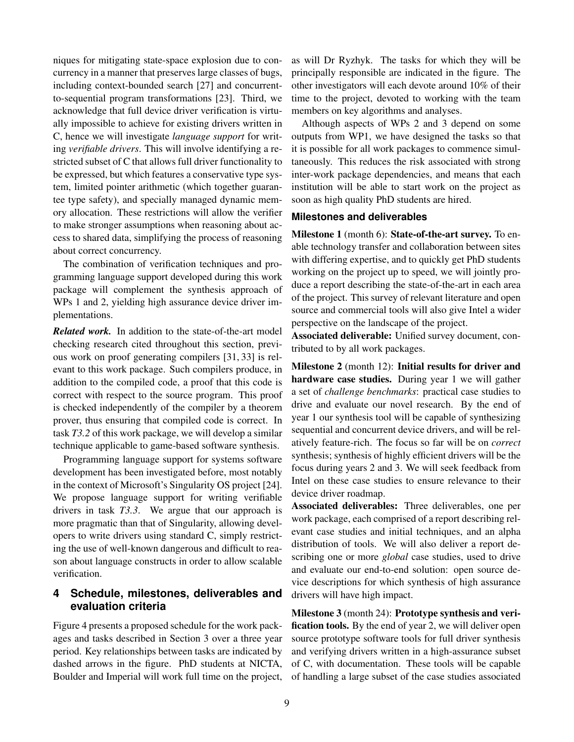niques for mitigating state-space explosion due to concurrency in a manner that preserves large classes of bugs, including context-bounded search [27] and concurrentto-sequential program transformations [23]. Third, we acknowledge that full device driver verification is virtually impossible to achieve for existing drivers written in C, hence we will investigate *language support* for writing *verifiable drivers*. This will involve identifying a restricted subset of C that allows full driver functionality to be expressed, but which features a conservative type system, limited pointer arithmetic (which together guarantee type safety), and specially managed dynamic memory allocation. These restrictions will allow the verifier to make stronger assumptions when reasoning about access to shared data, simplifying the process of reasoning about correct concurrency.

The combination of verification techniques and programming language support developed during this work package will complement the synthesis approach of WPs 1 and 2, yielding high assurance device driver implementations.

*Related work.* In addition to the state-of-the-art model checking research cited throughout this section, previous work on proof generating compilers [31, 33] is relevant to this work package. Such compilers produce, in addition to the compiled code, a proof that this code is correct with respect to the source program. This proof is checked independently of the compiler by a theorem prover, thus ensuring that compiled code is correct. In task *T3.2* of this work package, we will develop a similar technique applicable to game-based software synthesis.

Programming language support for systems software development has been investigated before, most notably in the context of Microsoft's Singularity OS project [24]. We propose language support for writing verifiable drivers in task *T3.3*. We argue that our approach is more pragmatic than that of Singularity, allowing developers to write drivers using standard C, simply restricting the use of well-known dangerous and difficult to reason about language constructs in order to allow scalable verification.

## **4 Schedule, milestones, deliverables and evaluation criteria**

Figure 4 presents a proposed schedule for the work packages and tasks described in Section 3 over a three year period. Key relationships between tasks are indicated by dashed arrows in the figure. PhD students at NICTA, Boulder and Imperial will work full time on the project,

as will Dr Ryzhyk. The tasks for which they will be principally responsible are indicated in the figure. The other investigators will each devote around 10% of their time to the project, devoted to working with the team members on key algorithms and analyses.

Although aspects of WPs 2 and 3 depend on some outputs from WP1, we have designed the tasks so that it is possible for all work packages to commence simultaneously. This reduces the risk associated with strong inter-work package dependencies, and means that each institution will be able to start work on the project as soon as high quality PhD students are hired.

## **Milestones and deliverables**

Milestone 1 (month 6): State-of-the-art survey. To enable technology transfer and collaboration between sites with differing expertise, and to quickly get PhD students working on the project up to speed, we will jointly produce a report describing the state-of-the-art in each area of the project. This survey of relevant literature and open source and commercial tools will also give Intel a wider perspective on the landscape of the project.

Associated deliverable: Unified survey document, contributed to by all work packages.

Milestone 2 (month 12): Initial results for driver and hardware case studies. During year 1 we will gather a set of *challenge benchmarks*: practical case studies to drive and evaluate our novel research. By the end of year 1 our synthesis tool will be capable of synthesizing sequential and concurrent device drivers, and will be relatively feature-rich. The focus so far will be on *correct* synthesis; synthesis of highly efficient drivers will be the focus during years 2 and 3. We will seek feedback from Intel on these case studies to ensure relevance to their device driver roadmap.

Associated deliverables: Three deliverables, one per work package, each comprised of a report describing relevant case studies and initial techniques, and an alpha distribution of tools. We will also deliver a report describing one or more *global* case studies, used to drive and evaluate our end-to-end solution: open source device descriptions for which synthesis of high assurance drivers will have high impact.

Milestone 3 (month 24): Prototype synthesis and verification tools. By the end of year 2, we will deliver open source prototype software tools for full driver synthesis and verifying drivers written in a high-assurance subset of C, with documentation. These tools will be capable of handling a large subset of the case studies associated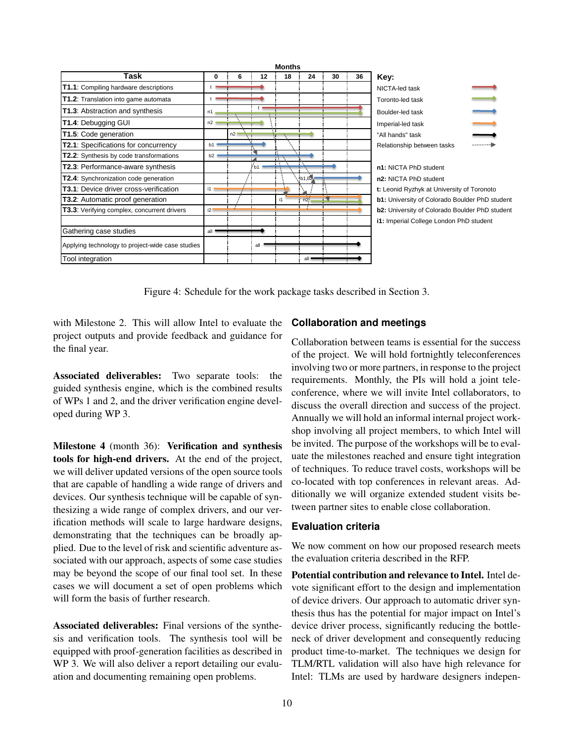

Figure 4: Schedule for the work package tasks described in Section 3.

with Milestone 2. This will allow Intel to evaluate the project outputs and provide feedback and guidance for the final year.

Associated deliverables: Two separate tools: the guided synthesis engine, which is the combined results of WPs 1 and 2, and the driver verification engine developed during WP 3.

Milestone 4 (month 36): Verification and synthesis tools for high-end drivers. At the end of the project, we will deliver updated versions of the open source tools that are capable of handling a wide range of drivers and devices. Our synthesis technique will be capable of synthesizing a wide range of complex drivers, and our verification methods will scale to large hardware designs, demonstrating that the techniques can be broadly applied. Due to the level of risk and scientific adventure associated with our approach, aspects of some case studies may be beyond the scope of our final tool set. In these cases we will document a set of open problems which will form the basis of further research.

Associated deliverables: Final versions of the synthesis and verification tools. The synthesis tool will be equipped with proof-generation facilities as described in WP 3. We will also deliver a report detailing our evaluation and documenting remaining open problems.

#### **Collaboration and meetings**

Collaboration between teams is essential for the success of the project. We will hold fortnightly teleconferences involving two or more partners, in response to the project requirements. Monthly, the PIs will hold a joint teleconference, where we will invite Intel collaborators, to discuss the overall direction and success of the project. Annually we will hold an informal internal project workshop involving all project members, to which Intel will be invited. The purpose of the workshops will be to evaluate the milestones reached and ensure tight integration of techniques. To reduce travel costs, workshops will be co-located with top conferences in relevant areas. Additionally we will organize extended student visits between partner sites to enable close collaboration.

### **Evaluation criteria**

We now comment on how our proposed research meets the evaluation criteria described in the RFP.

Potential contribution and relevance to Intel. Intel devote significant effort to the design and implementation of device drivers. Our approach to automatic driver synthesis thus has the potential for major impact on Intel's device driver process, significantly reducing the bottleneck of driver development and consequently reducing product time-to-market. The techniques we design for TLM/RTL validation will also have high relevance for Intel: TLMs are used by hardware designers indepen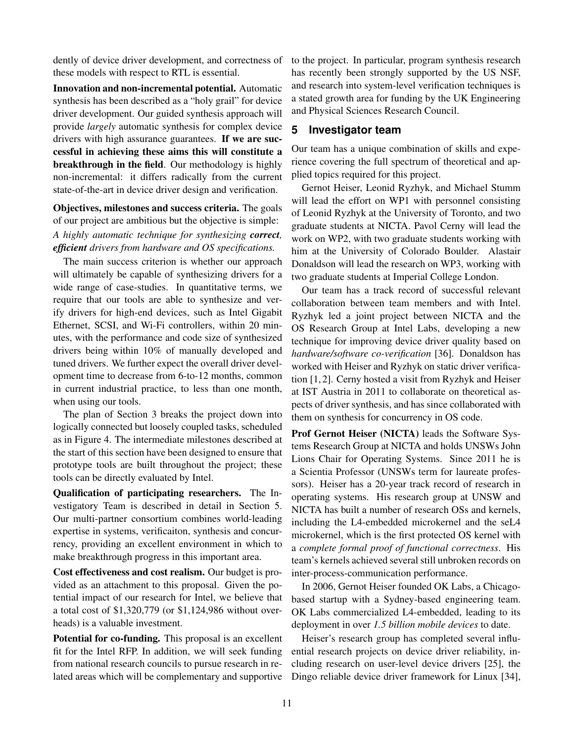dently of device driver development, and correctness of these models with respect to RTL is essential.

Innovation and non-incremental potential. Automatic synthesis has been described as a "holy grail" for device driver development. Our guided synthesis approach will provide *largely* automatic synthesis for complex device drivers with high assurance guarantees. If we are successful in achieving these aims this will constitute a breakthrough in the field. Our methodology is highly non-incremental: it differs radically from the current state-of-the-art in device driver design and verification.

Objectives, milestones and success criteria. The goals of our project are ambitious but the objective is simple: *A highly automatic technique for synthesizing correct, efficient drivers from hardware and OS specifications.*

The main success criterion is whether our approach will ultimately be capable of synthesizing drivers for a wide range of case-studies. In quantitative terms, we require that our tools are able to synthesize and verify drivers for high-end devices, such as Intel Gigabit Ethernet, SCSI, and Wi-Fi controllers, within 20 minutes, with the performance and code size of synthesized drivers being within 10% of manually developed and tuned drivers. We further expect the overall driver development time to decrease from 6-to-12 months, common in current industrial practice, to less than one month, when using our tools.

The plan of Section 3 breaks the project down into logically connected but loosely coupled tasks, scheduled as in Figure 4. The intermediate milestones described at the start of this section have been designed to ensure that prototype tools are built throughout the project; these tools can be directly evaluated by Intel.

Qualification of participating researchers. The Investigatory Team is described in detail in Section 5. Our multi-partner consortium combines world-leading expertise in systems, verificaiton, synthesis and concurrency, providing an excellent environment in which to make breakthrough progress in this important area.

Cost effectiveness and cost realism. Our budget is provided as an attachment to this proposal. Given the potential impact of our research for Intel, we believe that a total cost of \$1,320,779 (or \$1,124,986 without overheads) is a valuable investment.

Potential for co-funding. This proposal is an excellent fit for the Intel RFP. In addition, we will seek funding from national research councils to pursue research in related areas which will be complementary and supportive to the project. In particular, program synthesis research has recently been strongly supported by the US NSF, and research into system-level verification techniques is a stated growth area for funding by the UK Engineering and Physical Sciences Research Council.

## **5 Investigator team**

Our team has a unique combination of skills and experience covering the full spectrum of theoretical and applied topics required for this project.

Gernot Heiser, Leonid Ryzhyk, and Michael Stumm will lead the effort on WP1 with personnel consisting of Leonid Ryzhyk at the University of Toronto, and two graduate students at NICTA. Pavol Cerny will lead the work on WP2, with two graduate students working with him at the University of Colorado Boulder. Alastair Donaldson will lead the research on WP3, working with two graduate students at Imperial College London.

Our team has a track record of successful relevant collaboration between team members and with Intel. Ryzhyk led a joint project between NICTA and the OS Research Group at Intel Labs, developing a new technique for improving device driver quality based on *hardware/software co-verification* [36]. Donaldson has worked with Heiser and Ryzhyk on static driver verification [1, 2]. Cerny hosted a visit from Ryzhyk and Heiser at IST Austria in 2011 to collaborate on theoretical aspects of driver synthesis, and has since collaborated with them on synthesis for concurrency in OS code.

Prof Gernot Heiser (NICTA) leads the Software Systems Research Group at NICTA and holds UNSWs John Lions Chair for Operating Systems. Since 2011 he is a Scientia Professor (UNSWs term for laureate professors). Heiser has a 20-year track record of research in operating systems. His research group at UNSW and NICTA has built a number of research OSs and kernels, including the L4-embedded microkernel and the seL4 microkernel, which is the first protected OS kernel with a *complete formal proof of functional correctness*. His team's kernels achieved several still unbroken records on inter-process-communication performance.

In 2006, Gernot Heiser founded OK Labs, a Chicagobased startup with a Sydney-based engineering team. OK Labs commercialized L4-embedded, leading to its deployment in over *1.5 billion mobile devices* to date.

Heiser's research group has completed several influential research projects on device driver reliability, including research on user-level device drivers [25], the Dingo reliable device driver framework for Linux [34],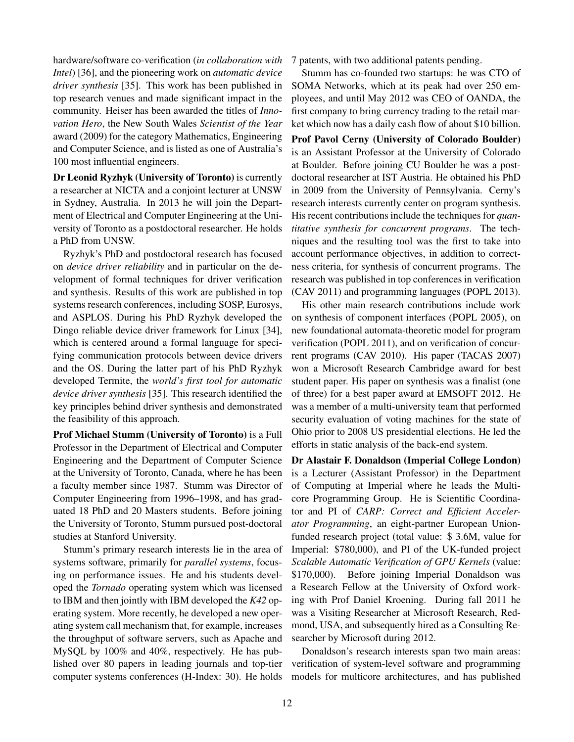hardware/software co-verification (*in collaboration with Intel*) [36], and the pioneering work on *automatic device driver synthesis* [35]. This work has been published in top research venues and made significant impact in the community. Heiser has been awarded the titles of *Innovation Hero*, the New South Wales *Scientist of the Year* award (2009) for the category Mathematics, Engineering and Computer Science, and is listed as one of Australia's 100 most influential engineers.

Dr Leonid Ryzhyk (University of Toronto) is currently a researcher at NICTA and a conjoint lecturer at UNSW in Sydney, Australia. In 2013 he will join the Department of Electrical and Computer Engineering at the University of Toronto as a postdoctoral researcher. He holds a PhD from UNSW.

Ryzhyk's PhD and postdoctoral research has focused on *device driver reliability* and in particular on the development of formal techniques for driver verification and synthesis. Results of this work are published in top systems research conferences, including SOSP, Eurosys, and ASPLOS. During his PhD Ryzhyk developed the Dingo reliable device driver framework for Linux [34], which is centered around a formal language for specifying communication protocols between device drivers and the OS. During the latter part of his PhD Ryzhyk developed Termite, the *world's first tool for automatic device driver synthesis* [35]. This research identified the key principles behind driver synthesis and demonstrated the feasibility of this approach.

Prof Michael Stumm (University of Toronto) is a Full Professor in the Department of Electrical and Computer Engineering and the Department of Computer Science at the University of Toronto, Canada, where he has been a faculty member since 1987. Stumm was Director of Computer Engineering from 1996–1998, and has graduated 18 PhD and 20 Masters students. Before joining the University of Toronto, Stumm pursued post-doctoral studies at Stanford University.

Stumm's primary research interests lie in the area of systems software, primarily for *parallel systems*, focusing on performance issues. He and his students developed the *Tornado* operating system which was licensed to IBM and then jointly with IBM developed the *K42* operating system. More recently, he developed a new operating system call mechanism that, for example, increases the throughput of software servers, such as Apache and MySQL by 100% and 40%, respectively. He has published over 80 papers in leading journals and top-tier computer systems conferences (H-Index: 30). He holds

7 patents, with two additional patents pending.

Stumm has co-founded two startups: he was CTO of SOMA Networks, which at its peak had over 250 employees, and until May 2012 was CEO of OANDA, the first company to bring currency trading to the retail market which now has a daily cash flow of about \$10 billion.

Prof Pavol Cerny (University of Colorado Boulder) is an Assistant Professor at the University of Colorado at Boulder. Before joining CU Boulder he was a postdoctoral researcher at IST Austria. He obtained his PhD in 2009 from the University of Pennsylvania. Cerny's research interests currently center on program synthesis. His recent contributions include the techniques for *quantitative synthesis for concurrent programs*. The techniques and the resulting tool was the first to take into account performance objectives, in addition to correctness criteria, for synthesis of concurrent programs. The research was published in top conferences in verification (CAV 2011) and programming languages (POPL 2013).

His other main research contributions include work on synthesis of component interfaces (POPL 2005), on new foundational automata-theoretic model for program verification (POPL 2011), and on verification of concurrent programs (CAV 2010). His paper (TACAS 2007) won a Microsoft Research Cambridge award for best student paper. His paper on synthesis was a finalist (one of three) for a best paper award at EMSOFT 2012. He was a member of a multi-university team that performed security evaluation of voting machines for the state of Ohio prior to 2008 US presidential elections. He led the efforts in static analysis of the back-end system.

Dr Alastair F. Donaldson (Imperial College London) is a Lecturer (Assistant Professor) in the Department of Computing at Imperial where he leads the Multicore Programming Group. He is Scientific Coordinator and PI of *CARP: Correct and Efficient Accelerator Programming*, an eight-partner European Unionfunded research project (total value: \$ 3.6M, value for Imperial: \$780,000), and PI of the UK-funded project *Scalable Automatic Verification of GPU Kernels* (value: \$170,000). Before joining Imperial Donaldson was a Research Fellow at the University of Oxford working with Prof Daniel Kroening. During fall 2011 he was a Visiting Researcher at Microsoft Research, Redmond, USA, and subsequently hired as a Consulting Researcher by Microsoft during 2012.

Donaldson's research interests span two main areas: verification of system-level software and programming models for multicore architectures, and has published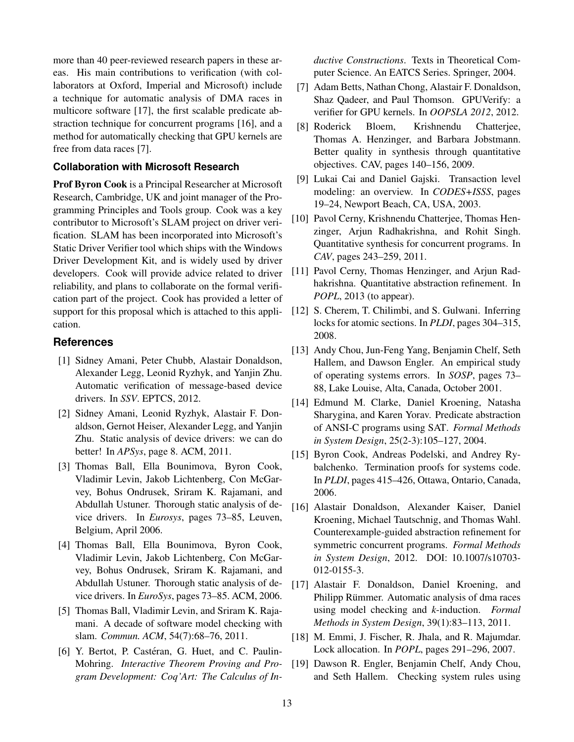more than 40 peer-reviewed research papers in these areas. His main contributions to verification (with collaborators at Oxford, Imperial and Microsoft) include a technique for automatic analysis of DMA races in multicore software [17], the first scalable predicate abstraction technique for concurrent programs [16], and a method for automatically checking that GPU kernels are free from data races [7].

## **Collaboration with Microsoft Research**

Prof Byron Cook is a Principal Researcher at Microsoft Research, Cambridge, UK and joint manager of the Programming Principles and Tools group. Cook was a key contributor to Microsoft's SLAM project on driver verification. SLAM has been incorporated into Microsoft's Static Driver Verifier tool which ships with the Windows Driver Development Kit, and is widely used by driver developers. Cook will provide advice related to driver reliability, and plans to collaborate on the formal verification part of the project. Cook has provided a letter of support for this proposal which is attached to this application.

## **References**

- [1] Sidney Amani, Peter Chubb, Alastair Donaldson, Alexander Legg, Leonid Ryzhyk, and Yanjin Zhu. Automatic verification of message-based device drivers. In *SSV*. EPTCS, 2012.
- [2] Sidney Amani, Leonid Ryzhyk, Alastair F. Donaldson, Gernot Heiser, Alexander Legg, and Yanjin Zhu. Static analysis of device drivers: we can do better! In *APSys*, page 8. ACM, 2011.
- [3] Thomas Ball, Ella Bounimova, Byron Cook, Vladimir Levin, Jakob Lichtenberg, Con McGarvey, Bohus Ondrusek, Sriram K. Rajamani, and Abdullah Ustuner. Thorough static analysis of device drivers. In *Eurosys*, pages 73–85, Leuven, Belgium, April 2006.
- [4] Thomas Ball, Ella Bounimova, Byron Cook, Vladimir Levin, Jakob Lichtenberg, Con McGarvey, Bohus Ondrusek, Sriram K. Rajamani, and Abdullah Ustuner. Thorough static analysis of device drivers. In *EuroSys*, pages 73–85. ACM, 2006.
- [5] Thomas Ball, Vladimir Levin, and Sriram K. Rajamani. A decade of software model checking with slam. *Commun. ACM*, 54(7):68–76, 2011.
- [6] Y. Bertot, P. Castéran, G. Huet, and C. Paulin-Mohring. *Interactive Theorem Proving and Program Development: Coq'Art: The Calculus of In-*

*ductive Constructions*. Texts in Theoretical Computer Science. An EATCS Series. Springer, 2004.

- [7] Adam Betts, Nathan Chong, Alastair F. Donaldson, Shaz Qadeer, and Paul Thomson. GPUVerify: a verifier for GPU kernels. In *OOPSLA 2012*, 2012.
- [8] Roderick Bloem, Krishnendu Chatterjee, Thomas A. Henzinger, and Barbara Jobstmann. Better quality in synthesis through quantitative objectives. CAV, pages 140–156, 2009.
- [9] Lukai Cai and Daniel Gajski. Transaction level modeling: an overview. In *CODES+ISSS*, pages 19–24, Newport Beach, CA, USA, 2003.
- [10] Pavol Cerny, Krishnendu Chatterjee, Thomas Henzinger, Arjun Radhakrishna, and Rohit Singh. Quantitative synthesis for concurrent programs. In *CAV*, pages 243–259, 2011.
- [11] Pavol Cerny, Thomas Henzinger, and Arjun Radhakrishna. Quantitative abstraction refinement. In *POPL*, 2013 (to appear).
- [12] S. Cherem, T. Chilimbi, and S. Gulwani. Inferring locks for atomic sections. In *PLDI*, pages 304–315, 2008.
- [13] Andy Chou, Jun-Feng Yang, Benjamin Chelf, Seth Hallem, and Dawson Engler. An empirical study of operating systems errors. In *SOSP*, pages 73– 88, Lake Louise, Alta, Canada, October 2001.
- [14] Edmund M. Clarke, Daniel Kroening, Natasha Sharygina, and Karen Yorav. Predicate abstraction of ANSI-C programs using SAT. *Formal Methods in System Design*, 25(2-3):105–127, 2004.
- [15] Byron Cook, Andreas Podelski, and Andrey Rybalchenko. Termination proofs for systems code. In *PLDI*, pages 415–426, Ottawa, Ontario, Canada, 2006.
- [16] Alastair Donaldson, Alexander Kaiser, Daniel Kroening, Michael Tautschnig, and Thomas Wahl. Counterexample-guided abstraction refinement for symmetric concurrent programs. *Formal Methods in System Design*, 2012. DOI: 10.1007/s10703- 012-0155-3.
- [17] Alastair F. Donaldson, Daniel Kroening, and Philipp Rümmer. Automatic analysis of dma races using model checking and *k*-induction. *Formal Methods in System Design*, 39(1):83–113, 2011.
- [18] M. Emmi, J. Fischer, R. Jhala, and R. Majumdar. Lock allocation. In *POPL*, pages 291–296, 2007.
- [19] Dawson R. Engler, Benjamin Chelf, Andy Chou, and Seth Hallem. Checking system rules using